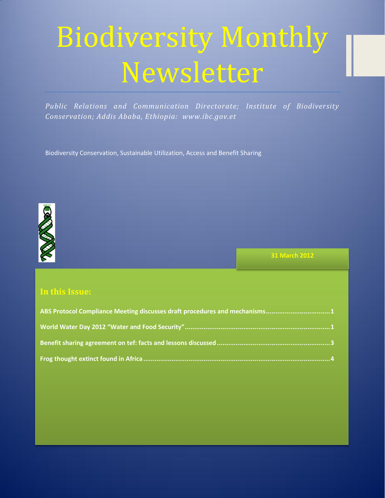# Biodiversity Monthly Newsletter

*Public Relations and Communication Directorate; Institute of Biodiversity Conservation; Addis Ababa, Ethiopia: www.ibc.gov.et*

Biodiversity Conservation, Sustainable Utilization, Access and Benefit Sharing



**31 March 2012**

### **In this Issue:**

| ABS Protocol Compliance Meeting discusses draft procedures and mechanisms1 |
|----------------------------------------------------------------------------|
|                                                                            |
|                                                                            |
|                                                                            |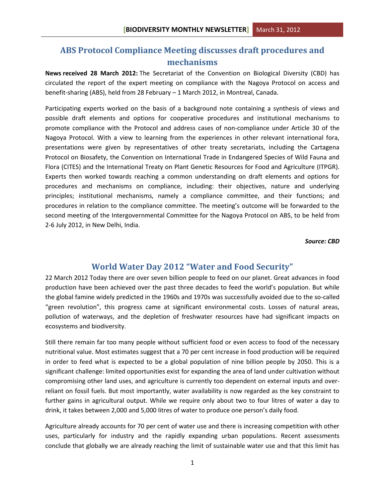## <span id="page-1-0"></span>**ABS Protocol Compliance Meeting discusses draft procedures and mechanisms**

**News received 28 March 2012:** The Secretariat of the Convention on Biological Diversity (CBD) has circulated the report of the expert meeting on compliance with the Nagoya Protocol on access and benefit-sharing (ABS), held from 28 February – 1 March 2012, in Montreal, Canada.

Participating experts worked on the basis of a background note containing a synthesis of views and possible draft elements and options for cooperative procedures and institutional mechanisms to promote compliance with the Protocol and address cases of non-compliance under Article 30 of the Nagoya Protocol. With a view to learning from the experiences in other relevant international fora, presentations were given by representatives of other treaty secretariats, including the Cartagena Protocol on Biosafety, the Convention on International Trade in Endangered Species of Wild Fauna and Flora (CITES) and the International Treaty on Plant Genetic Resources for Food and Agriculture (ITPGR). Experts then worked towards reaching a common understanding on draft elements and options for procedures and mechanisms on compliance, including: their objectives, nature and underlying principles; institutional mechanisms, namely a compliance committee, and their functions; and procedures in relation to the compliance committee. The meeting's outcome will be forwarded to the second meeting of the Intergovernmental Committee for the Nagoya Protocol on ABS, to be held from 2-6 July 2012, in New Delhi, India.

*Source: CBD*

#### **World Water Day 2012 "Water and Food Security"**

<span id="page-1-1"></span>22 March 2012 Today there are over seven billion people to feed on our planet. Great advances in food production have been achieved over the past three decades to feed the world's population. But while the global famine widely predicted in the 1960s and 1970s was successfully avoided due to the so-called "green revolution", this progress came at significant environmental costs. Losses of natural areas, pollution of waterways, and the depletion of freshwater resources have had significant impacts on ecosystems and biodiversity.

Still there remain far too many people without sufficient food or even access to food of the necessary nutritional value. Most estimates suggest that a 70 per cent increase in food production will be required in order to feed what is expected to be a global population of nine billion people by 2050. This is a significant challenge: limited opportunities exist for expanding the area of land under cultivation without compromising other land uses, and agriculture is currently too dependent on external inputs and overreliant on fossil fuels. But most importantly, water availability is now regarded as the key constraint to further gains in agricultural output. While we require only about two to four litres of water a day to drink, it takes between 2,000 and 5,000 litres of water to produce one person's daily food.

Agriculture already accounts for 70 per cent of water use and there is increasing competition with other uses, particularly for industry and the rapidly expanding urban populations. Recent assessments conclude that globally we are already reaching the limit of sustainable water use and that this limit has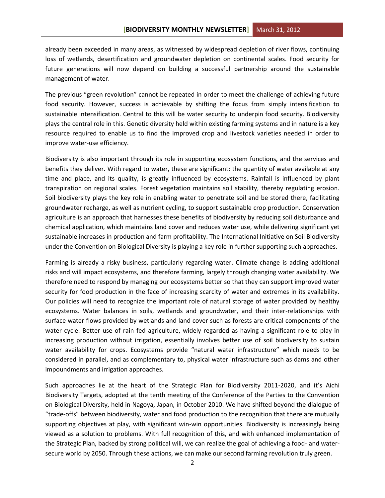already been exceeded in many areas, as witnessed by widespread depletion of river flows, continuing loss of wetlands, desertification and groundwater depletion on continental scales. Food security for future generations will now depend on building a successful partnership around the sustainable management of water.

The previous "green revolution" cannot be repeated in order to meet the challenge of achieving future food security. However, success is achievable by shifting the focus from simply intensification to sustainable intensification. Central to this will be water security to underpin food security. Biodiversity plays the central role in this. Genetic diversity held within existing farming systems and in nature is a key resource required to enable us to find the improved crop and livestock varieties needed in order to improve water-use efficiency.

Biodiversity is also important through its role in supporting ecosystem functions, and the services and benefits they deliver. With regard to water, these are significant: the quantity of water available at any time and place, and its quality, is greatly influenced by ecosystems. Rainfall is influenced by plant transpiration on regional scales. Forest vegetation maintains soil stability, thereby regulating erosion. Soil biodiversity plays the key role in enabling water to penetrate soil and be stored there, facilitating groundwater recharge, as well as nutrient cycling, to support sustainable crop production. Conservation agriculture is an approach that harnesses these benefits of biodiversity by reducing soil disturbance and chemical application, which maintains land cover and reduces water use, while delivering significant yet sustainable increases in production and farm profitability. The International Initiative on Soil Biodiversity under the Convention on Biological Diversity is playing a key role in further supporting such approaches.

Farming is already a risky business, particularly regarding water. Climate change is adding additional risks and will impact ecosystems, and therefore farming, largely through changing water availability. We therefore need to respond by managing our ecosystems better so that they can support improved water security for food production in the face of increasing scarcity of water and extremes in its availability. Our policies will need to recognize the important role of natural storage of water provided by healthy ecosystems. Water balances in soils, wetlands and groundwater, and their inter-relationships with surface water flows provided by wetlands and land cover such as forests are critical components of the water cycle. Better use of rain fed agriculture, widely regarded as having a significant role to play in increasing production without irrigation, essentially involves better use of soil biodiversity to sustain water availability for crops. Ecosystems provide "natural water infrastructure" which needs to be considered in parallel, and as complementary to, physical water infrastructure such as dams and other impoundments and irrigation approaches.

Such approaches lie at the heart of the Strategic Plan for Biodiversity 2011-2020, and it's Aichi Biodiversity Targets, adopted at the tenth meeting of the Conference of the Parties to the Convention on Biological Diversity, held in Nagoya, Japan, in October 2010. We have shifted beyond the dialogue of "trade-offs" between biodiversity, water and food production to the recognition that there are mutually supporting objectives at play, with significant win-win opportunities. Biodiversity is increasingly being viewed as a solution to problems. With full recognition of this, and with enhanced implementation of the Strategic Plan, backed by strong political will, we can realize the goal of achieving a food- and watersecure world by 2050. Through these actions, we can make our second farming revolution truly green.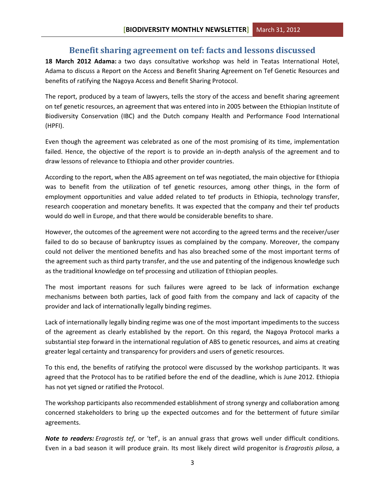#### **Benefit sharing agreement on tef: facts and lessons discussed**

<span id="page-3-0"></span>**18 March 2012 Adama:** a two days consultative workshop was held in Teatas International Hotel, Adama to discuss a Report on the Access and Benefit Sharing Agreement on Tef Genetic Resources and benefits of ratifying the Nagoya Access and Benefit Sharing Protocol.

The report, produced by a team of lawyers, tells the story of the access and benefit sharing agreement on tef genetic resources, an agreement that was entered into in 2005 between the Ethiopian Institute of Biodiversity Conservation (IBC) and the Dutch company Health and Performance Food International (HPFI).

Even though the agreement was celebrated as one of the most promising of its time, implementation failed. Hence, the objective of the report is to provide an in-depth analysis of the agreement and to draw lessons of relevance to Ethiopia and other provider countries.

According to the report, when the ABS agreement on tef was negotiated, the main objective for Ethiopia was to benefit from the utilization of tef genetic resources, among other things, in the form of employment opportunities and value added related to tef products in Ethiopia, technology transfer, research cooperation and monetary benefits. It was expected that the company and their tef products would do well in Europe, and that there would be considerable benefits to share.

However, the outcomes of the agreement were not according to the agreed terms and the receiver/user failed to do so because of bankruptcy issues as complained by the company. Moreover, the company could not deliver the mentioned benefits and has also breached some of the most important terms of the agreement such as third party transfer, and the use and patenting of the indigenous knowledge such as the traditional knowledge on tef processing and utilization of Ethiopian peoples.

The most important reasons for such failures were agreed to be lack of information exchange mechanisms between both parties, lack of good faith from the company and lack of capacity of the provider and lack of internationally legally binding regimes.

Lack of internationally legally binding regime was one of the most important impediments to the success of the agreement as clearly established by the report. On this regard, the Nagoya Protocol marks a substantial step forward in the international regulation of ABS to genetic resources, and aims at creating greater legal certainty and transparency for providers and users of genetic resources.

To this end, the benefits of ratifying the protocol were discussed by the workshop participants. It was agreed that the Protocol has to be ratified before the end of the deadline, which is June 2012. Ethiopia has not yet signed or ratified the Protocol.

The workshop participants also recommended establishment of strong synergy and collaboration among concerned stakeholders to bring up the expected outcomes and for the betterment of future similar agreements.

*Note to readers: Eragrostis tef*, or 'tef', is an annual grass that grows well under difficult conditions. Even in a bad season it will produce grain. Its most likely direct wild progenitor is *Eragrostis pilosa*, a